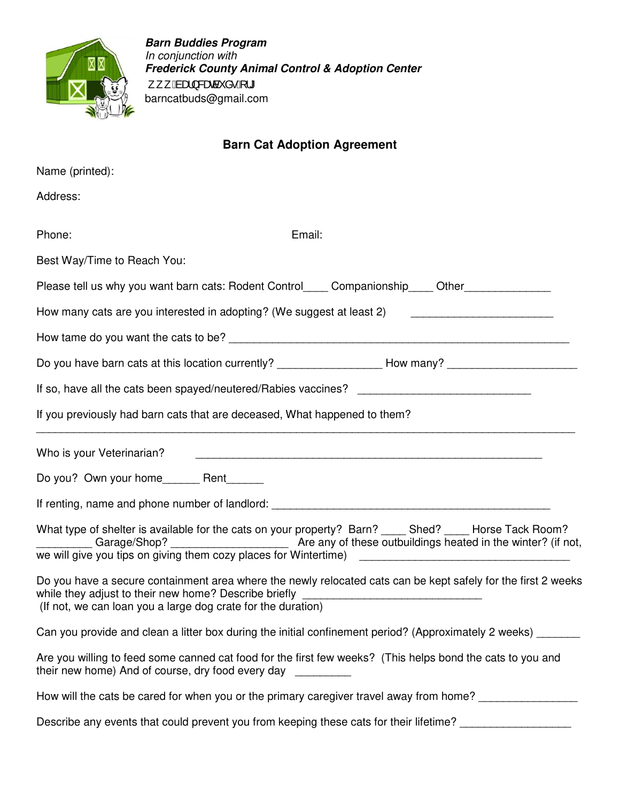

**Barn Buddies Program**  In conjunction with **Frederick County Animal Control & Adoption Center**  ,,,Baæ}&æcàઁå∙E¦\* barncatbuds@gmail.com

## **Barn Cat Adoption Agreement**

| Name (printed):                                                                                                                                                                                                                        |
|----------------------------------------------------------------------------------------------------------------------------------------------------------------------------------------------------------------------------------------|
| Address:                                                                                                                                                                                                                               |
| Phone:<br>Email:                                                                                                                                                                                                                       |
| Best Way/Time to Reach You:                                                                                                                                                                                                            |
| Please tell us why you want barn cats: Rodent Control_____ Companionship_____ Other_______________                                                                                                                                     |
| How many cats are you interested in adopting? (We suggest at least 2)                                                                                                                                                                  |
|                                                                                                                                                                                                                                        |
| Do you have barn cats at this location currently? ____________________How many? __________________________                                                                                                                             |
|                                                                                                                                                                                                                                        |
| If you previously had barn cats that are deceased, What happened to them?                                                                                                                                                              |
| Who is your Veterinarian?                                                                                                                                                                                                              |
|                                                                                                                                                                                                                                        |
|                                                                                                                                                                                                                                        |
| What type of shelter is available for the cats on your property? Barn? _____ Shed? _____ Horse Tack Room?<br>Are any of these outbuildings heated in the winter? (if not,<br>Garage/Shop?                                              |
| Do you have a secure containment area where the newly relocated cats can be kept safely for the first 2 weeks<br>while they adjust to their new home? Describe briefly<br>(If not, we can loan you a large dog crate for the duration) |
| Can you provide and clean a litter box during the initial confinement period? (Approximately 2 weeks)                                                                                                                                  |
| Are you willing to feed some canned cat food for the first few weeks? (This helps bond the cats to you and<br>their new home) And of course, dry food every day                                                                        |
| How will the cats be cared for when you or the primary caregiver travel away from home?                                                                                                                                                |
| Describe any events that could prevent you from keeping these cats for their lifetime?                                                                                                                                                 |